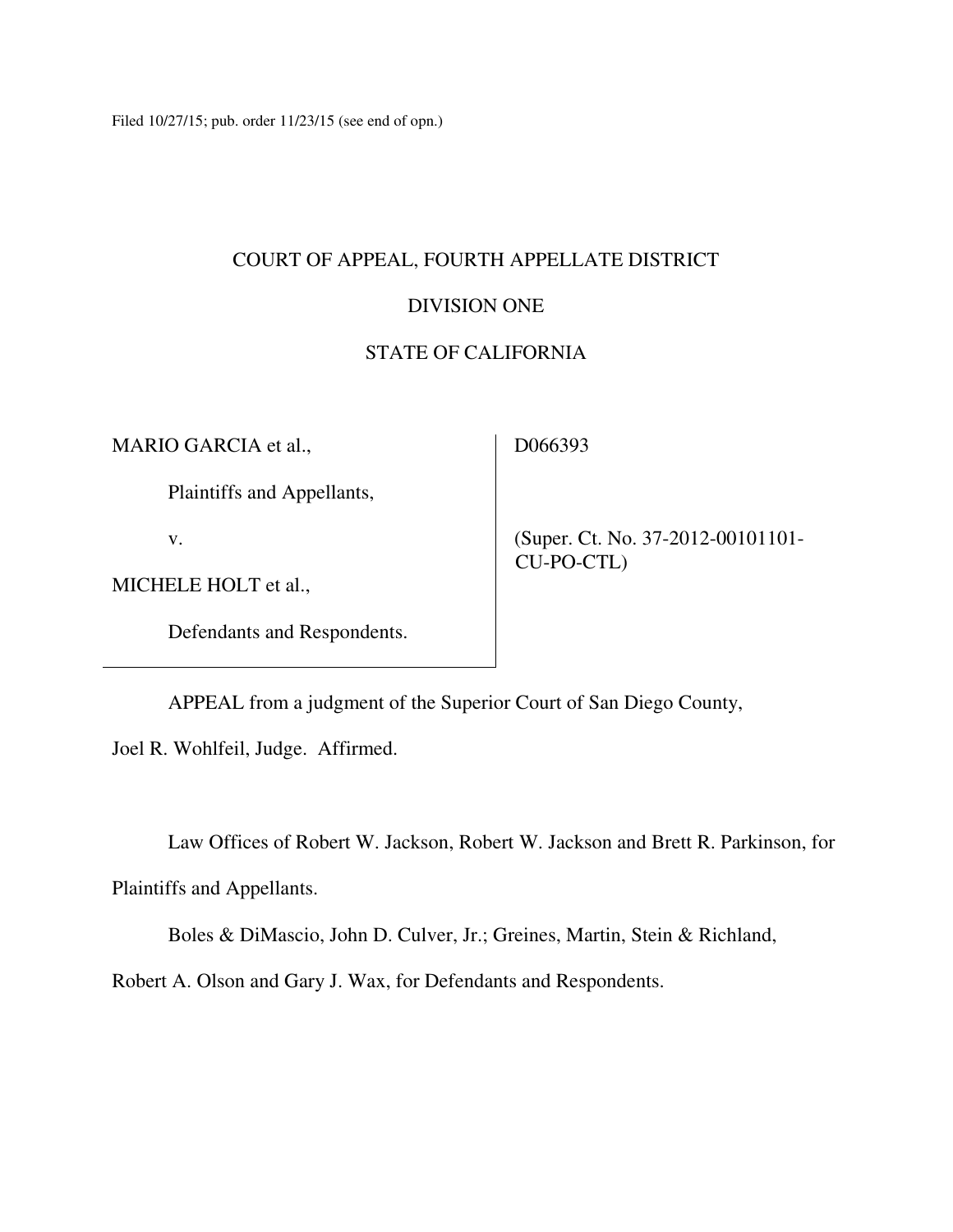Filed 10/27/15; pub. order 11/23/15 (see end of opn.)

# COURT OF APPEAL, FOURTH APPELLATE DISTRICT

# DIVISION ONE

## STATE OF CALIFORNIA

MARIO GARCIA et al.,

D066393

Plaintiffs and Appellants,

v.

 (Super. Ct. No. 37-2012-00101101- CU-PO-CTL)

MICHELE HOLT et al.,

Defendants and Respondents.

APPEAL from a judgment of the Superior Court of San Diego County,

Joel R. Wohlfeil, Judge. Affirmed.

Law Offices of Robert W. Jackson, Robert W. Jackson and Brett R. Parkinson, for

Plaintiffs and Appellants.

Boles & DiMascio, John D. Culver, Jr.; Greines, Martin, Stein & Richland,

Robert A. Olson and Gary J. Wax, for Defendants and Respondents.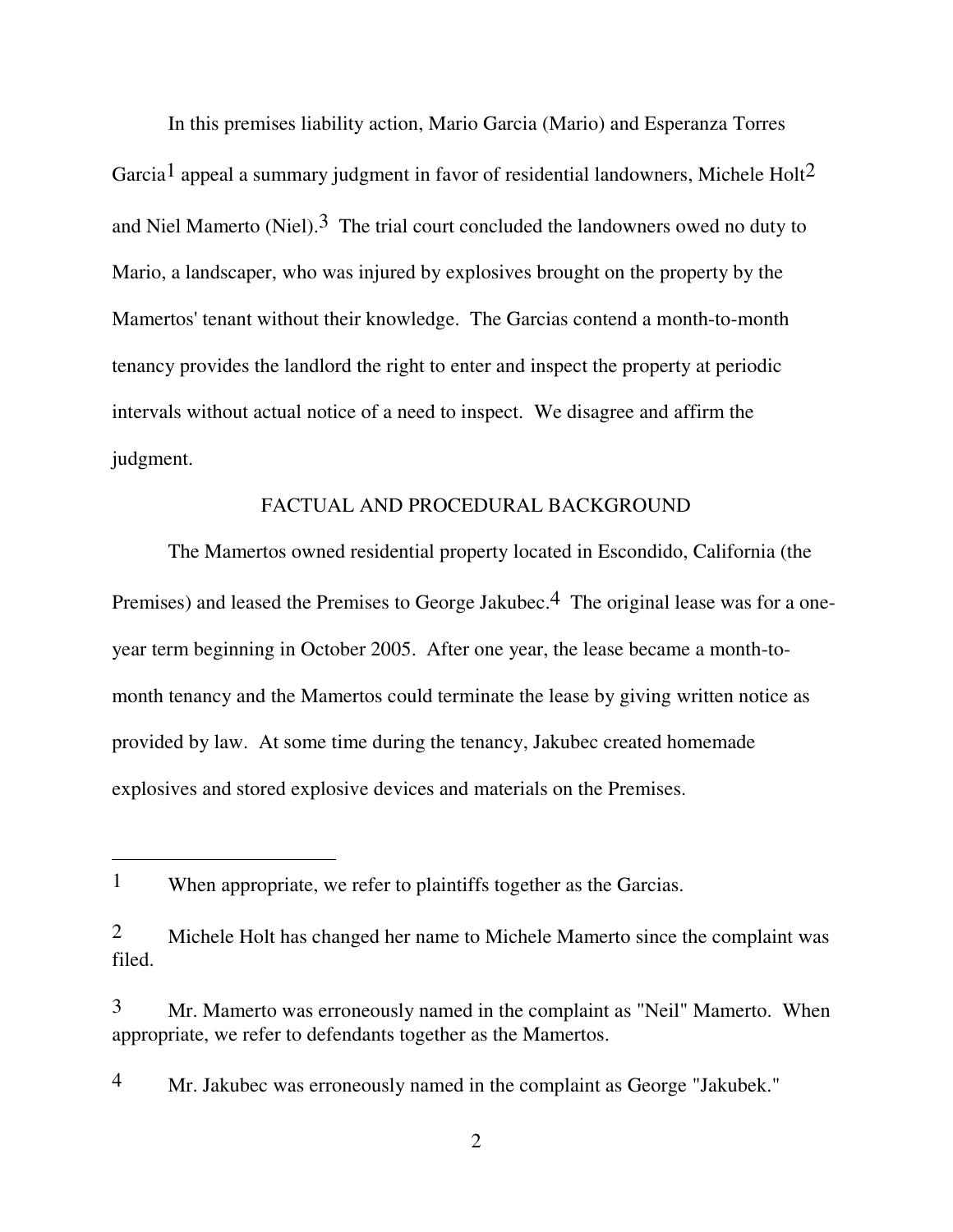In this premises liability action, Mario Garcia (Mario) and Esperanza Torres Garcia<sup>1</sup> appeal a summary judgment in favor of residential landowners, Michele Holt<sup>2</sup> and Niel Mamerto (Niel).<sup>3</sup> The trial court concluded the landowners owed no duty to Mario, a landscaper, who was injured by explosives brought on the property by the Mamertos' tenant without their knowledge. The Garcias contend a month-to-month tenancy provides the landlord the right to enter and inspect the property at periodic intervals without actual notice of a need to inspect. We disagree and affirm the judgment.

## FACTUAL AND PROCEDURAL BACKGROUND

The Mamertos owned residential property located in Escondido, California (the Premises) and leased the Premises to George Jakubec.<sup>4</sup> The original lease was for a oneyear term beginning in October 2005. After one year, the lease became a month-tomonth tenancy and the Mamertos could terminate the lease by giving written notice as provided by law. At some time during the tenancy, Jakubec created homemade explosives and stored explosive devices and materials on the Premises.

 $\overline{a}$ 

4 Mr. Jakubec was erroneously named in the complaint as George "Jakubek."

2

<sup>1</sup> When appropriate, we refer to plaintiffs together as the Garcias.

<sup>2</sup> Michele Holt has changed her name to Michele Mamerto since the complaint was filed.

<sup>3</sup> Mr. Mamerto was erroneously named in the complaint as "Neil" Mamerto. When appropriate, we refer to defendants together as the Mamertos.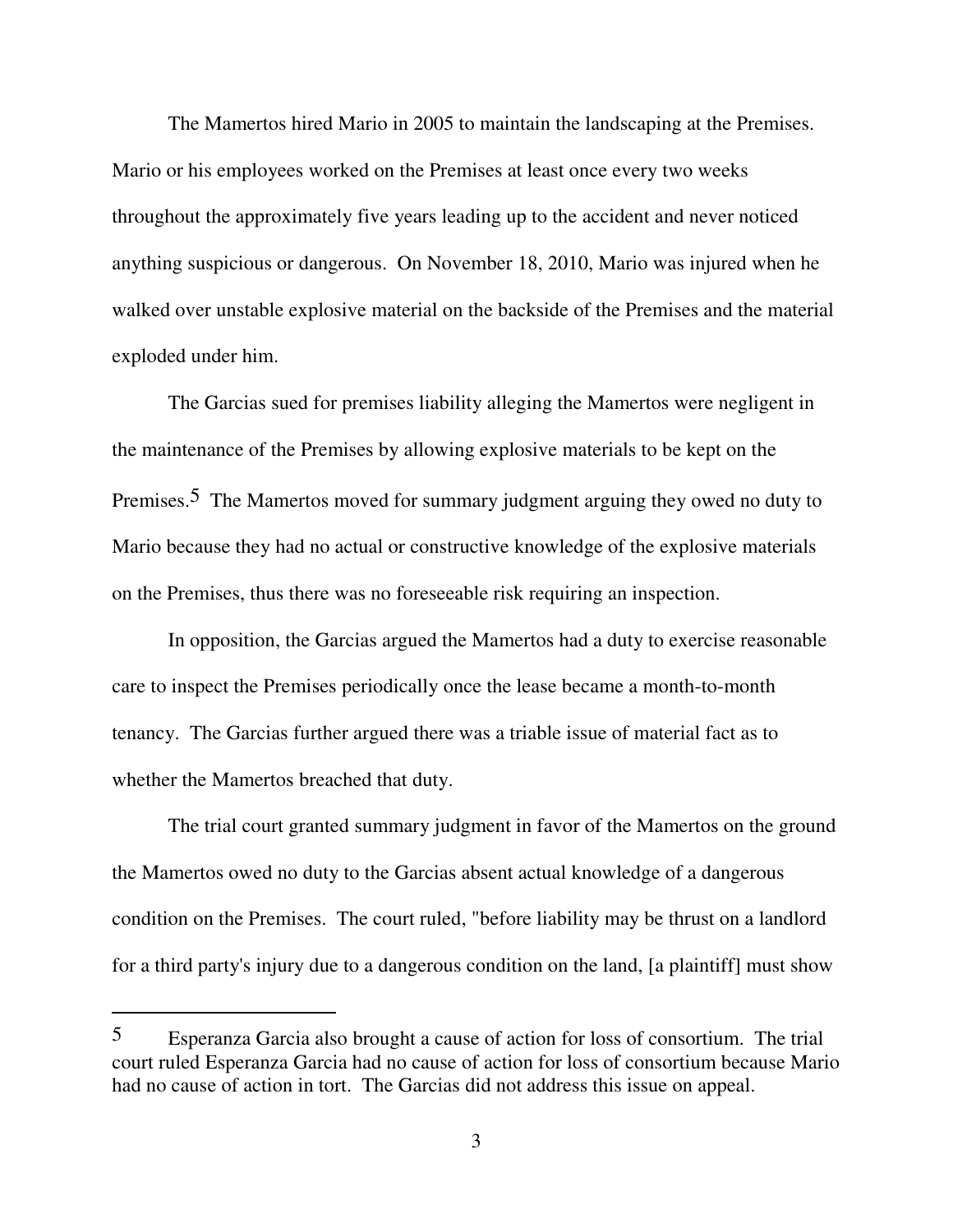The Mamertos hired Mario in 2005 to maintain the landscaping at the Premises. Mario or his employees worked on the Premises at least once every two weeks throughout the approximately five years leading up to the accident and never noticed anything suspicious or dangerous. On November 18, 2010, Mario was injured when he walked over unstable explosive material on the backside of the Premises and the material exploded under him.

The Garcias sued for premises liability alleging the Mamertos were negligent in the maintenance of the Premises by allowing explosive materials to be kept on the Premises.<sup>5</sup> The Mamertos moved for summary judgment arguing they owed no duty to Mario because they had no actual or constructive knowledge of the explosive materials on the Premises, thus there was no foreseeable risk requiring an inspection.

In opposition, the Garcias argued the Mamertos had a duty to exercise reasonable care to inspect the Premises periodically once the lease became a month-to-month tenancy. The Garcias further argued there was a triable issue of material fact as to whether the Mamertos breached that duty.

The trial court granted summary judgment in favor of the Mamertos on the ground the Mamertos owed no duty to the Garcias absent actual knowledge of a dangerous condition on the Premises. The court ruled, "before liability may be thrust on a landlord for a third party's injury due to a dangerous condition on the land, [a plaintiff] must show

 $\overline{a}$ 

<sup>5</sup> Esperanza Garcia also brought a cause of action for loss of consortium. The trial court ruled Esperanza Garcia had no cause of action for loss of consortium because Mario had no cause of action in tort. The Garcias did not address this issue on appeal.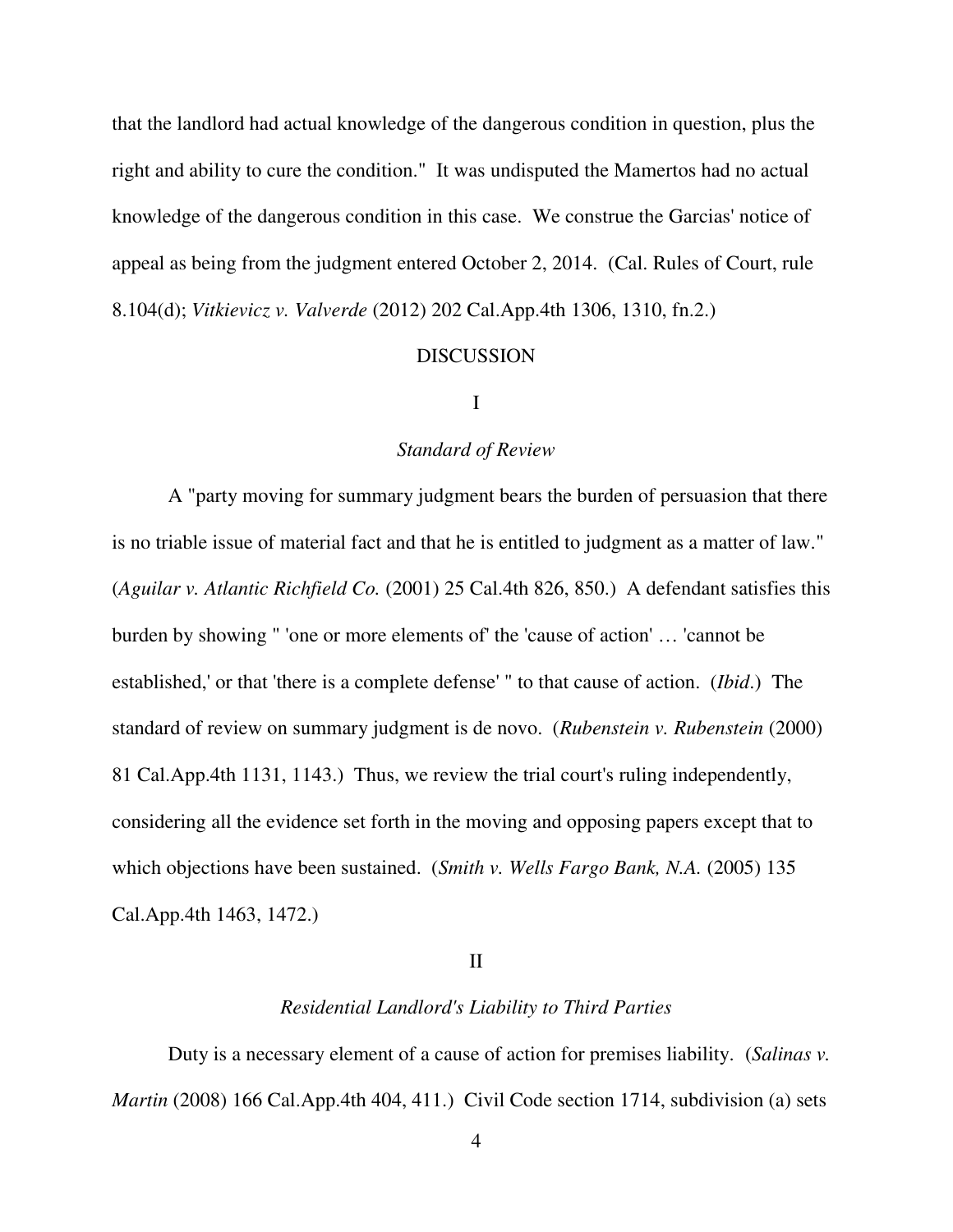that the landlord had actual knowledge of the dangerous condition in question, plus the right and ability to cure the condition." It was undisputed the Mamertos had no actual knowledge of the dangerous condition in this case. We construe the Garcias' notice of appeal as being from the judgment entered October 2, 2014. (Cal. Rules of Court, rule 8.104(d); *Vitkievicz v. Valverde* (2012) 202 Cal.App.4th 1306, 1310, fn.2.)

#### **DISCUSSION**

## I

### *Standard of Review*

A "party moving for summary judgment bears the burden of persuasion that there is no triable issue of material fact and that he is entitled to judgment as a matter of law." (*Aguilar v. Atlantic Richfield Co.* (2001) 25 Cal.4th 826, 850.) A defendant satisfies this burden by showing " 'one or more elements of' the 'cause of action' … 'cannot be established,' or that 'there is a complete defense' " to that cause of action. (*Ibid*.) The standard of review on summary judgment is de novo. (*Rubenstein v. Rubenstein* (2000) 81 Cal.App.4th 1131, 1143.) Thus, we review the trial court's ruling independently, considering all the evidence set forth in the moving and opposing papers except that to which objections have been sustained. (*Smith v. Wells Fargo Bank, N.A.* (2005) 135 Cal.App.4th 1463, 1472.)

#### II

#### *Residential Landlord's Liability to Third Parties*

 Duty is a necessary element of a cause of action for premises liability. (*Salinas v. Martin* (2008) 166 Cal.App.4th 404, 411.) Civil Code section 1714, subdivision (a) sets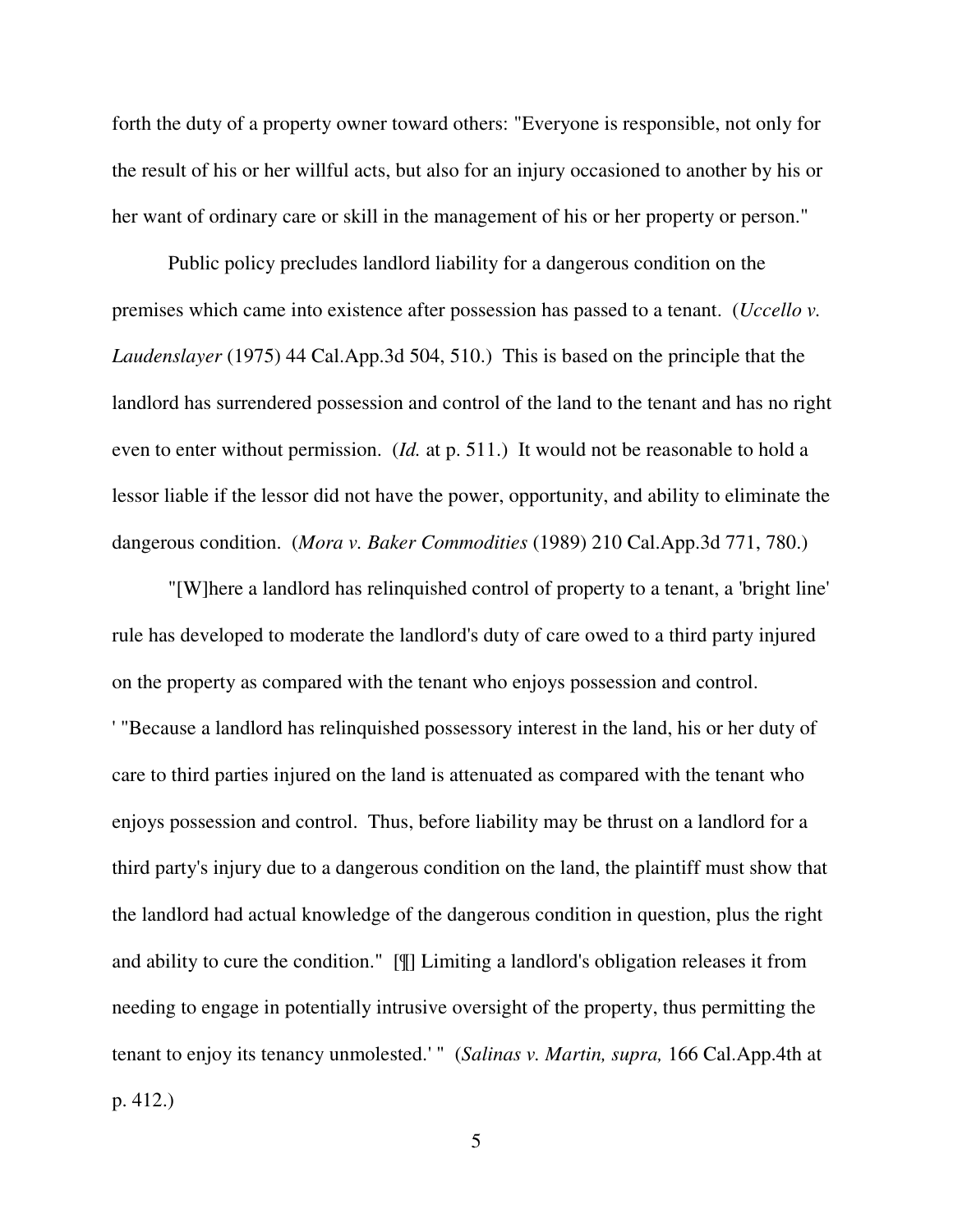forth the duty of a property owner toward others: "Everyone is responsible, not only for the result of his or her willful acts, but also for an injury occasioned to another by his or her want of ordinary care or skill in the management of his or her property or person."

 Public policy precludes landlord liability for a dangerous condition on the premises which came into existence after possession has passed to a tenant. (*Uccello v. Laudenslayer* (1975) 44 Cal.App.3d 504, 510.) This is based on the principle that the landlord has surrendered possession and control of the land to the tenant and has no right even to enter without permission. (*Id.* at p. 511.) It would not be reasonable to hold a lessor liable if the lessor did not have the power, opportunity, and ability to eliminate the dangerous condition. (*Mora v. Baker Commodities* (1989) 210 Cal.App.3d 771, 780.)

 "[W]here a landlord has relinquished control of property to a tenant, a 'bright line' rule has developed to moderate the landlord's duty of care owed to a third party injured on the property as compared with the tenant who enjoys possession and control. ' "Because a landlord has relinquished possessory interest in the land, his or her duty of care to third parties injured on the land is attenuated as compared with the tenant who enjoys possession and control. Thus, before liability may be thrust on a landlord for a third party's injury due to a dangerous condition on the land, the plaintiff must show that the landlord had actual knowledge of the dangerous condition in question, plus the right and ability to cure the condition." [¶] Limiting a landlord's obligation releases it from needing to engage in potentially intrusive oversight of the property, thus permitting the tenant to enjoy its tenancy unmolested.' " (*Salinas v. Martin, supra,* 166 Cal.App.4th at p. 412.)

5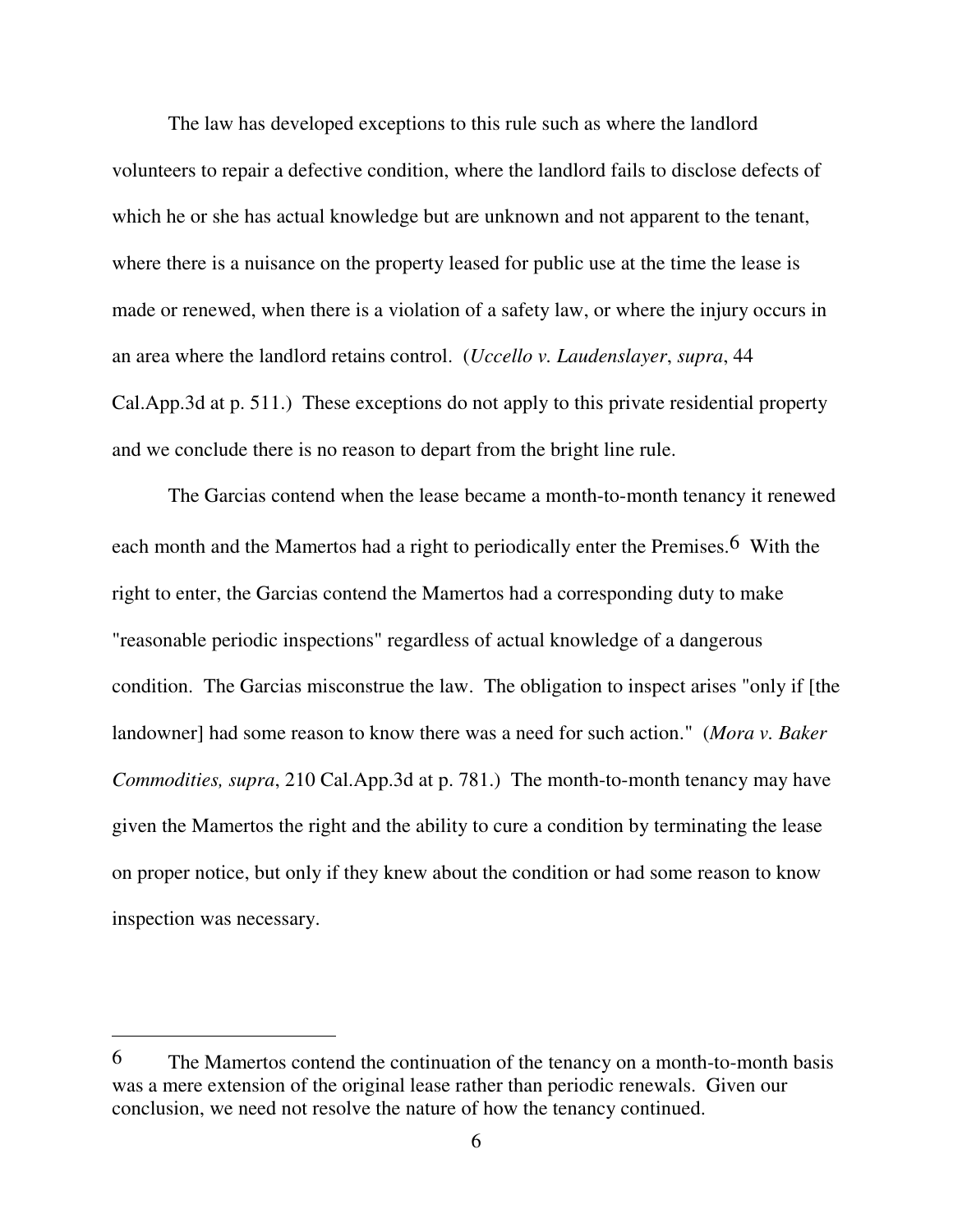The law has developed exceptions to this rule such as where the landlord volunteers to repair a defective condition, where the landlord fails to disclose defects of which he or she has actual knowledge but are unknown and not apparent to the tenant, where there is a nuisance on the property leased for public use at the time the lease is made or renewed, when there is a violation of a safety law, or where the injury occurs in an area where the landlord retains control. (*Uccello v. Laudenslayer*, *supra*, 44 Cal.App.3d at p. 511.) These exceptions do not apply to this private residential property and we conclude there is no reason to depart from the bright line rule.

The Garcias contend when the lease became a month-to-month tenancy it renewed each month and the Mamertos had a right to periodically enter the Premises.6 With the right to enter, the Garcias contend the Mamertos had a corresponding duty to make "reasonable periodic inspections" regardless of actual knowledge of a dangerous condition. The Garcias misconstrue the law. The obligation to inspect arises "only if [the landowner] had some reason to know there was a need for such action." (*Mora v. Baker Commodities, supra*, 210 Cal.App.3d at p. 781.) The month-to-month tenancy may have given the Mamertos the right and the ability to cure a condition by terminating the lease on proper notice, but only if they knew about the condition or had some reason to know inspection was necessary.

 $\overline{a}$ 

<sup>6</sup> The Mamertos contend the continuation of the tenancy on a month-to-month basis was a mere extension of the original lease rather than periodic renewals. Given our conclusion, we need not resolve the nature of how the tenancy continued.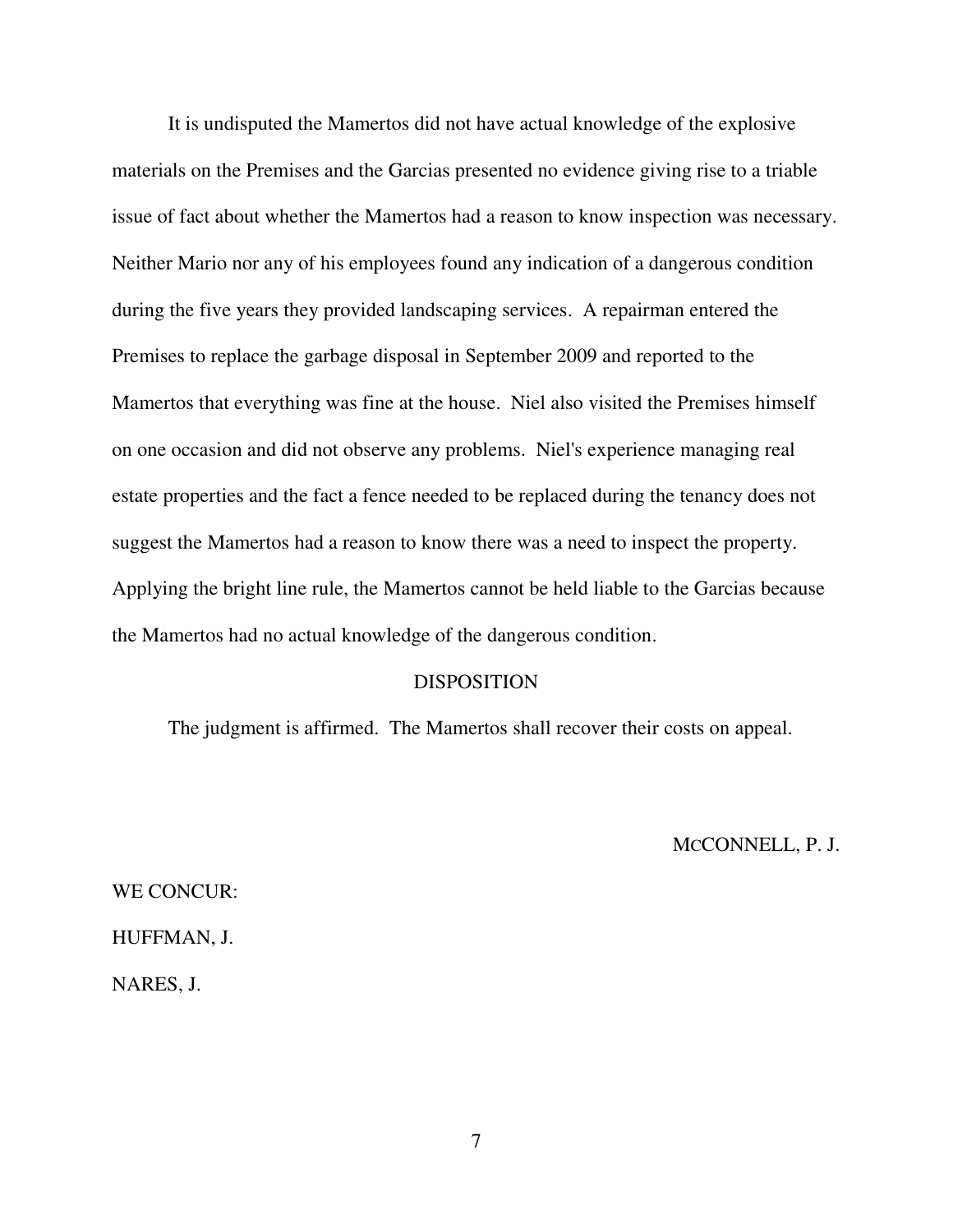It is undisputed the Mamertos did not have actual knowledge of the explosive materials on the Premises and the Garcias presented no evidence giving rise to a triable issue of fact about whether the Mamertos had a reason to know inspection was necessary. Neither Mario nor any of his employees found any indication of a dangerous condition during the five years they provided landscaping services. A repairman entered the Premises to replace the garbage disposal in September 2009 and reported to the Mamertos that everything was fine at the house. Niel also visited the Premises himself on one occasion and did not observe any problems. Niel's experience managing real estate properties and the fact a fence needed to be replaced during the tenancy does not suggest the Mamertos had a reason to know there was a need to inspect the property. Applying the bright line rule, the Mamertos cannot be held liable to the Garcias because the Mamertos had no actual knowledge of the dangerous condition.

### DISPOSITION

The judgment is affirmed. The Mamertos shall recover their costs on appeal.

MCCONNELL, P. J.

WE CONCUR: HUFFMAN, J. NARES, J.